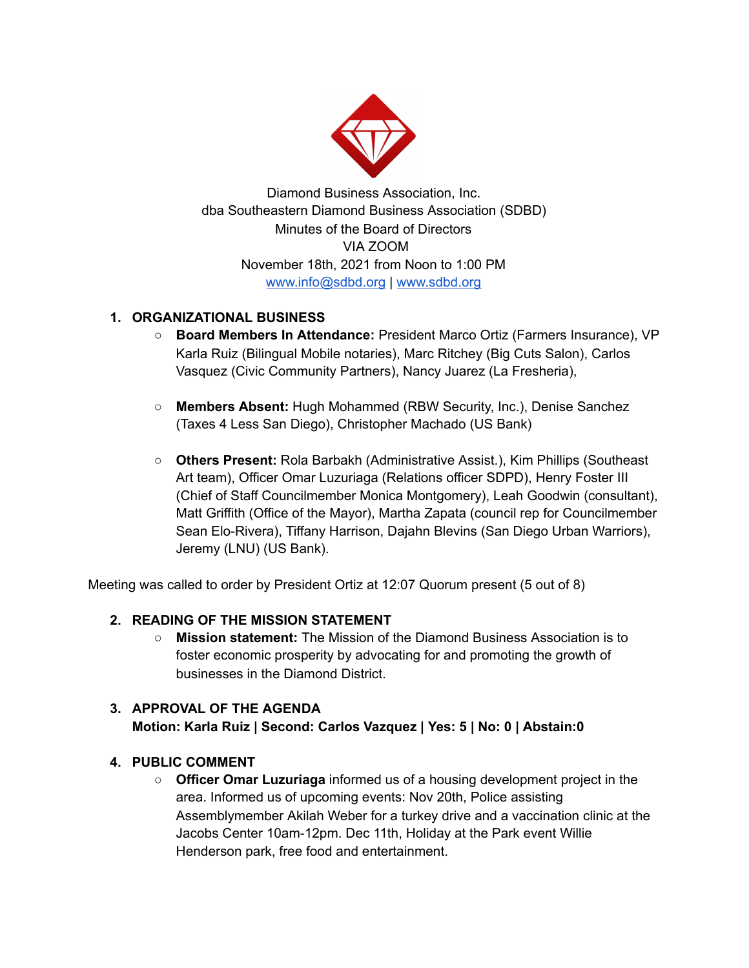

Diamond Business Association, Inc. dba Southeastern Diamond Business Association (SDBD) Minutes of the Board of Directors VIA ZOOM November 18th, 2021 from Noon to 1:00 PM [www.info@sdbd.org](http://www.info@sdbd.org/) | [www.sdbd.org](http://www.sdbd.org/)

## **1. ORGANIZATIONAL BUSINESS**

- **Board Members In Attendance:** President Marco Ortiz (Farmers Insurance), VP Karla Ruiz (Bilingual Mobile notaries), Marc Ritchey (Big Cuts Salon), Carlos Vasquez (Civic Community Partners), Nancy Juarez (La Fresheria),
- **Members Absent:** Hugh Mohammed (RBW Security, Inc.), Denise Sanchez (Taxes 4 Less San Diego), Christopher Machado (US Bank)
- **Others Present:** Rola Barbakh (Administrative Assist.), Kim Phillips (Southeast Art team), Officer Omar Luzuriaga (Relations officer SDPD), Henry Foster III (Chief of Staff Councilmember Monica Montgomery), Leah Goodwin (consultant), Matt Griffith (Office of the Mayor), Martha Zapata (council rep for Councilmember Sean Elo-Rivera), Tiffany Harrison, Dajahn Blevins (San Diego Urban Warriors), Jeremy (LNU) (US Bank).

Meeting was called to order by President Ortiz at 12:07 Quorum present (5 out of 8)

# **2. READING OF THE MISSION STATEMENT**

**○ Mission statement:** The Mission of the Diamond Business Association is to foster economic prosperity by advocating for and promoting the growth of businesses in the Diamond District.

# **3. APPROVAL OF THE AGENDA Motion: Karla Ruiz | Second: Carlos Vazquez | Yes: 5 | No: 0 | Abstain:0**

# **4. PUBLIC COMMENT**

○ **Officer Omar Luzuriaga** informed us of a housing development project in the area. Informed us of upcoming events: Nov 20th, Police assisting Assemblymember Akilah Weber for a turkey drive and a vaccination clinic at the Jacobs Center 10am-12pm. Dec 11th, Holiday at the Park event Willie Henderson park, free food and entertainment.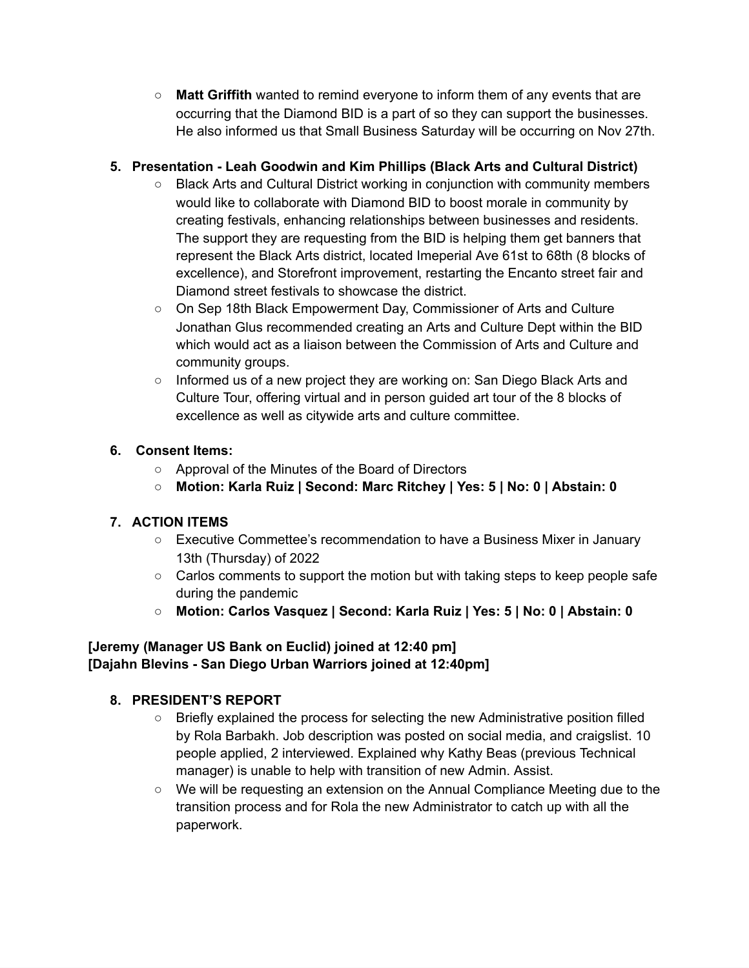○ **Matt Griffith** wanted to remind everyone to inform them of any events that are occurring that the Diamond BID is a part of so they can support the businesses. He also informed us that Small Business Saturday will be occurring on Nov 27th.

# **5. Presentation - Leah Goodwin and Kim Phillips (Black Arts and Cultural District)**

- Black Arts and Cultural District working in conjunction with community members would like to collaborate with Diamond BID to boost morale in community by creating festivals, enhancing relationships between businesses and residents. The support they are requesting from the BID is helping them get banners that represent the Black Arts district, located Imeperial Ave 61st to 68th (8 blocks of excellence), and Storefront improvement, restarting the Encanto street fair and Diamond street festivals to showcase the district.
- On Sep 18th Black Empowerment Day, Commissioner of Arts and Culture Jonathan Glus recommended creating an Arts and Culture Dept within the BID which would act as a liaison between the Commission of Arts and Culture and community groups.
- Informed us of a new project they are working on: San Diego Black Arts and Culture Tour, offering virtual and in person guided art tour of the 8 blocks of excellence as well as citywide arts and culture committee.

### **6. Consent Items:**

- Approval of the Minutes of the Board of Directors
- **○ Motion: Karla Ruiz | Second: Marc Ritchey | Yes: 5 | No: 0 | Abstain: 0**

# **7. ACTION ITEMS**

- Executive Commettee's recommendation to have a Business Mixer in January 13th (Thursday) of 2022
- Carlos comments to support the motion but with taking steps to keep people safe during the pandemic
- **○ Motion: Carlos Vasquez | Second: Karla Ruiz | Yes: 5 | No: 0 | Abstain: 0**

### **[Jeremy (Manager US Bank on Euclid) joined at 12:40 pm] [Dajahn Blevins - San Diego Urban Warriors joined at 12:40pm]**

### **8. PRESIDENT'S REPORT**

- Briefly explained the process for selecting the new Administrative position filled by Rola Barbakh. Job description was posted on social media, and craigslist. 10 people applied, 2 interviewed. Explained why Kathy Beas (previous Technical manager) is unable to help with transition of new Admin. Assist.
- **○** We will be requesting an extension on the Annual Compliance Meeting due to the transition process and for Rola the new Administrator to catch up with all the paperwork.